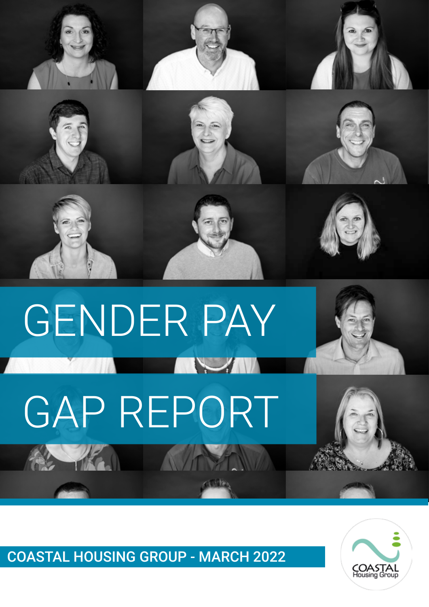

# GENDER PAY **AVENUE** GAP REPORT



COASTAL HOUSING GROUP - MARCH 2022

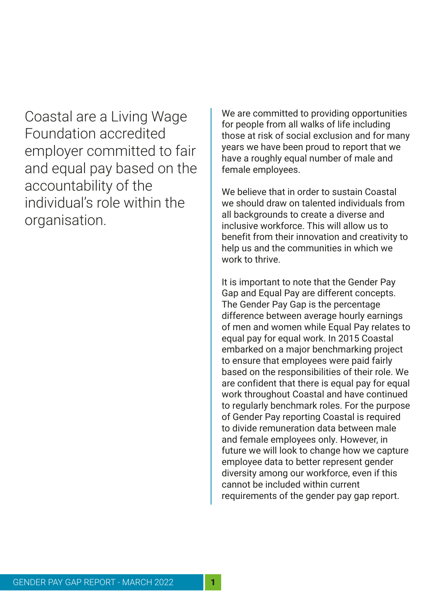Coastal are a Living Wage Foundation accredited employer committed to fair and equal pay based on the accountability of the individual's role within the organisation.

We are committed to providing opportunities for people from all walks of life including those at risk of social exclusion and for many years we have been proud to report that we have a roughly equal number of male and female employees.

We believe that in order to sustain Coastal we should draw on talented individuals from all backgrounds to create a diverse and inclusive workforce. This will allow us to benefit from their innovation and creativity to help us and the communities in which we work to thrive.

It is important to note that the Gender Pay Gap and Equal Pay are different concepts. The Gender Pay Gap is the percentage difference between average hourly earnings of men and women while Equal Pay relates to equal pay for equal work. In 2015 Coastal embarked on a major benchmarking project to ensure that employees were paid fairly based on the responsibilities of their role. We are confident that there is equal pay for equal work throughout Coastal and have continued to regularly benchmark roles. For the purpose of Gender Pay reporting Coastal is required to divide remuneration data between male and female employees only. However, in future we will look to change how we capture employee data to better represent gender diversity among our workforce, even if this cannot be included within current requirements of the gender pay gap report.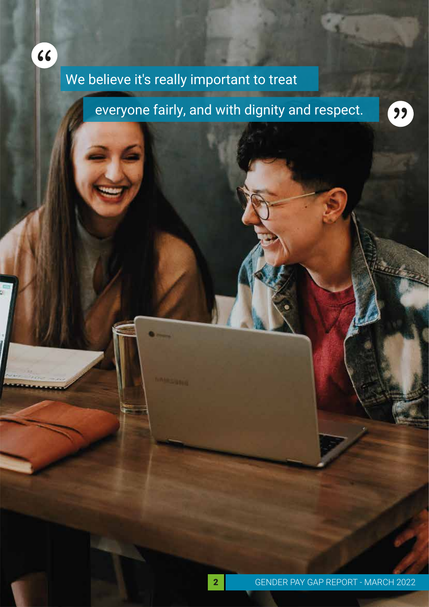

### We believe it's really important to treat

everyone fairly, and with dignity and respect.

99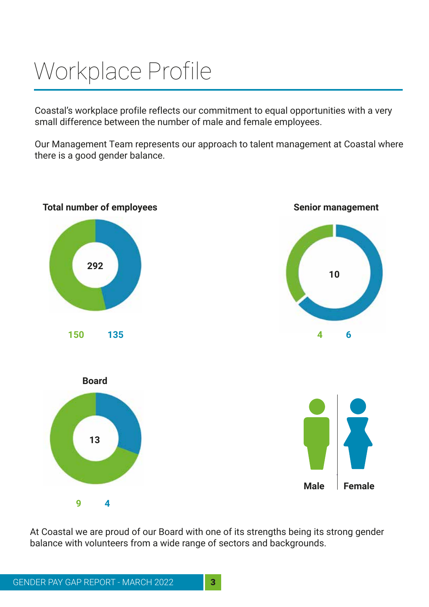## Workplace Profile

Coastal's workplace profile reflects our commitment to equal opportunities with a very small difference between the number of male and female employees.

Our Management Team represents our approach to talent management at Coastal where there is a good gender balance.



At Coastal we are proud of our Board with one of its strengths being its strong gender balance with volunteers from a wide range of sectors and backgrounds.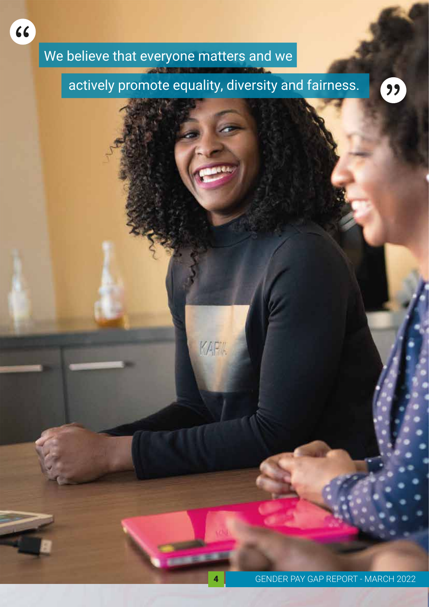## We believe that everyone matters and we

"

#### actively promote equality, diversity and fairness.

99

KAPIL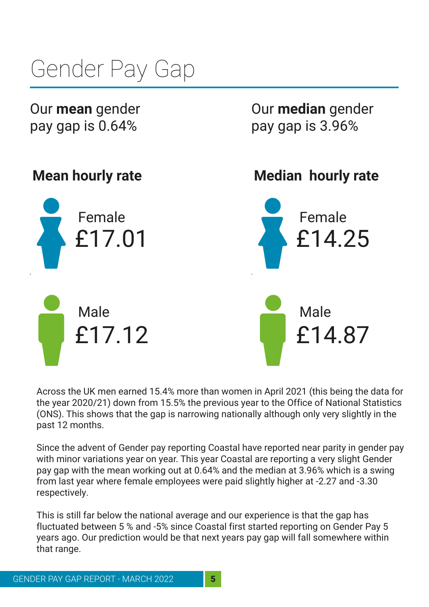# Gender Pay Gap

Our **mean** gender pay gap is 0.64%

**Mean hourly rate** Female Male £17.01 £17.12 **Median hourly rate** Female Male £14.25 £14.87

Our **median** gender

pay gap is 3.96%

Across the UK men earned 15.4% more than women in April 2021 (this being the data for the year 2020/21) down from 15.5% the previous year to the Office of National Statistics (ONS). This shows that the gap is narrowing nationally although only very slightly in the past 12 months.

Since the advent of Gender pay reporting Coastal have reported near parity in gender pay with minor variations year on year. This year Coastal are reporting a very slight Gender pay gap with the mean working out at 0.64% and the median at 3.96% which is a swing from last year where female employees were paid slightly higher at -2.27 and -3.30 respectively.

This is still far below the national average and our experience is that the gap has fluctuated between 5 % and -5% since Coastal first started reporting on Gender Pay 5 years ago. Our prediction would be that next years pay gap will fall somewhere within that range.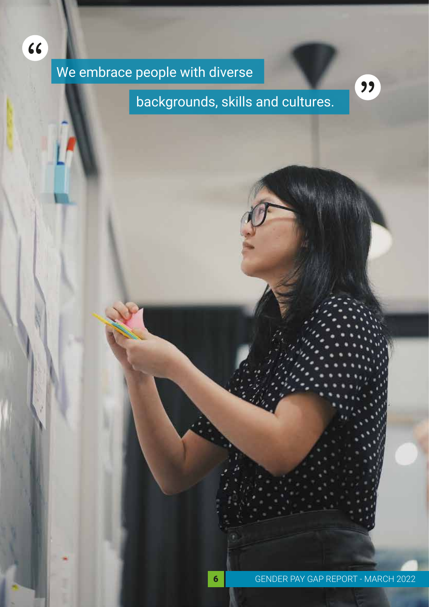We embrace people with diverse

"

backgrounds, skills and cultures.

"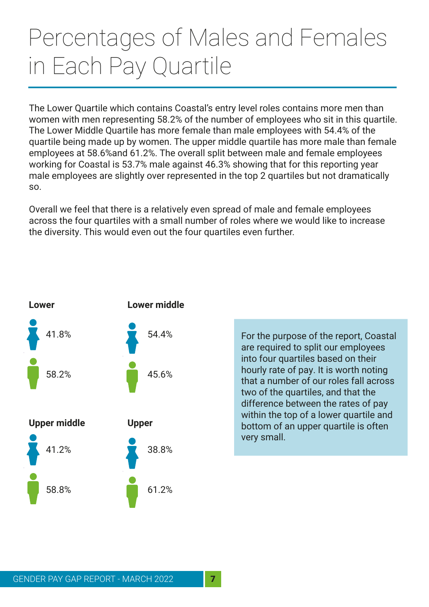## Percentages of Males and Females in Each Pay Quartile

The Lower Quartile which contains Coastal's entry level roles contains more men than women with men representing 58.2% of the number of employees who sit in this quartile. The Lower Middle Quartile has more female than male employees with 54.4% of the quartile being made up by women. The upper middle quartile has more male than female employees at 58.6%and 61.2%. The overall split between male and female employees working for Coastal is 53.7% male against 46.3% showing that for this reporting year male employees are slightly over represented in the top 2 quartiles but not dramatically so.

Overall we feel that there is a relatively even spread of male and female employees across the four quartiles with a small number of roles where we would like to increase the diversity. This would even out the four quartiles even further.



For the purpose of the report, Coastal are required to split our employees into four quartiles based on their hourly rate of pay. It is worth noting that a number of our roles fall across two of the quartiles, and that the difference between the rates of pay within the top of a lower quartile and bottom of an upper quartile is often very small.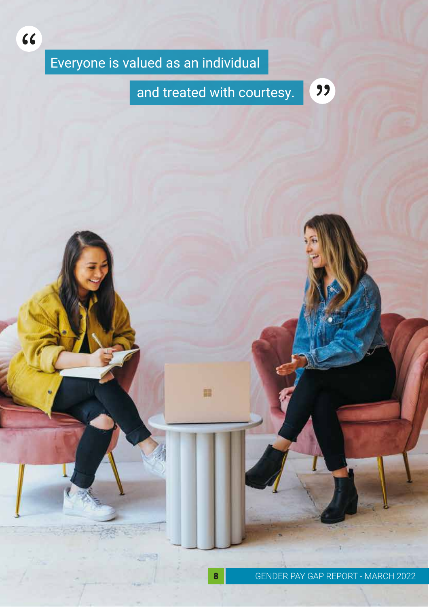### Everyone is valued as an individual

"

#### and treated with courtesy.

"

語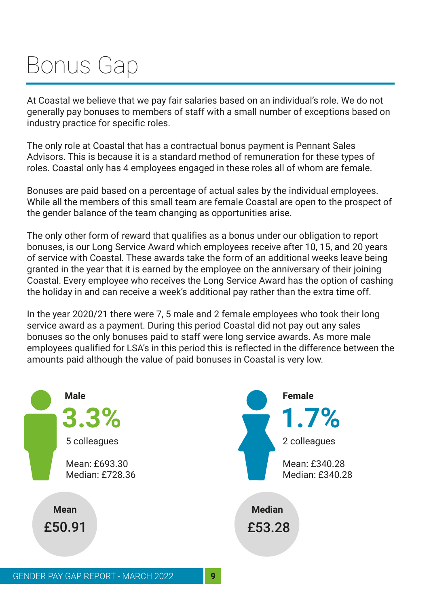## Bonus Gap

At Coastal we believe that we pay fair salaries based on an individual's role. We do not generally pay bonuses to members of staff with a small number of exceptions based on industry practice for specific roles.

The only role at Coastal that has a contractual bonus payment is Pennant Sales Advisors. This is because it is a standard method of remuneration for these types of roles. Coastal only has 4 employees engaged in these roles all of whom are female.

Bonuses are paid based on a percentage of actual sales by the individual employees. While all the members of this small team are female Coastal are open to the prospect of the gender balance of the team changing as opportunities arise.

The only other form of reward that qualifies as a bonus under our obligation to report bonuses, is our Long Service Award which employees receive after 10, 15, and 20 years of service with Coastal. These awards take the form of an additional weeks leave being granted in the year that it is earned by the employee on the anniversary of their joining Coastal. Every employee who receives the Long Service Award has the option of cashing the holiday in and can receive a week's additional pay rather than the extra time off.

In the year 2020/21 there were 7, 5 male and 2 female employees who took their long service award as a payment. During this period Coastal did not pay out any sales bonuses so the only bonuses paid to staff were long service awards. As more male employees qualified for LSA's in this period this is reflected in the difference between the amounts paid although the value of paid bonuses in Coastal is very low.